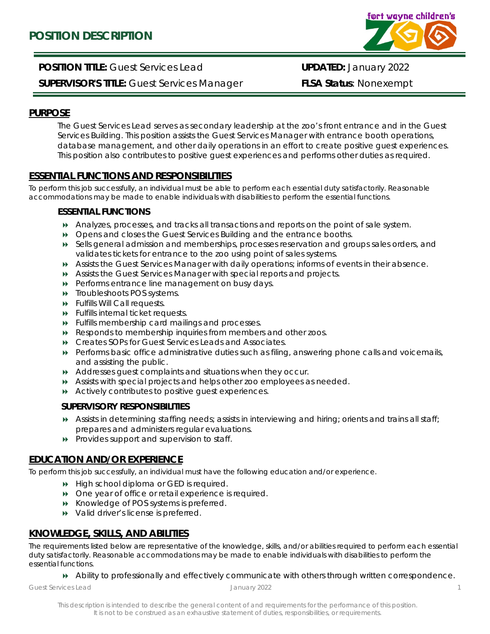

**POSITION TITLE:** Guest Services Lead **UPDATED:** January 2022 **SUPERVISOR'S TITLE:** Guest Services Manager **FLSA Status**: Nonexempt

## **PURPOSE**

The Guest Services Lead serves as secondary leadership at the zoo's front entrance and in the Guest Services Building. This position assists the Guest Services Manager with entrance booth operations, database management, and other daily operations in an effort to create positive guest experiences. This position also contributes to positive guest experiences and performs other duties as required.

## **ESSENTIAL FUNCTIONS AND RESPONSIBILITIES**

To perform this job successfully, an individual must be able to perform each essential duty satisfactorily. Reasonable accommodations may be made to enable individuals with disabilities to perform the essential functions.

### **ESSENTIAL FUNCTIONS**

- Analyzes, processes, and tracks all transactions and reports on the point of sale system.
- Opens and closes the Guest Services Building and the entrance booths.
- Sells general admission and memberships, processes reservation and groups sales orders, and validates tickets for entrance to the zoo using point of sales systems.
- Assists the Guest Services Manager with daily operations; informs of events in their absence.
- Assists the Guest Services Manager with special reports and projects.
- **Performs entrance line management on busy days.**
- **N** Troubleshoots POS systems.
- Fulfills Will Call requests.
- Fulfills internal ticket requests.
- Fulfills membership card mailings and processes.
- Responds to membership inquiries from members and other zoos.
- Creates SOPs for Guest Services Leads and Associates.
- Performs basic office administrative duties such as filing, answering phone calls and voicemails, and assisting the public.
- Addresses guest complaints and situations when they occur.
- Assists with special projects and helps other zoo employees as needed.
- Actively contributes to positive guest experiences.

#### **SUPERVISORY RESPONSIBILITIES**

- Assists in determining staffing needs; assists in interviewing and hiring; orients and trains all staff; prepares and administers regular evaluations.
- $\rightarrow$  Provides support and supervision to staff.

# **EDUCATION AND/OR EXPERIENCE**

To perform this job successfully, an individual must have the following education and/or experience.

- $\rightarrow$  High school diploma or GED is required.
- One year of office or retail experience is required.
- Knowledge of POS systems is preferred.
- $\rightarrow$  Valid driver's license is preferred.

# **KNOWLEDGE, SKILLS, AND ABILITIES**

The requirements listed below are representative of the knowledge, skills, and/or abilities required to perform each essential duty satisfactorily. Reasonable accommodations may be made to enable individuals with disabilities to perform the essential functions.

Ability to professionally and effectively communicate with others through written correspondence.

*Guest Services Lead January 2022*